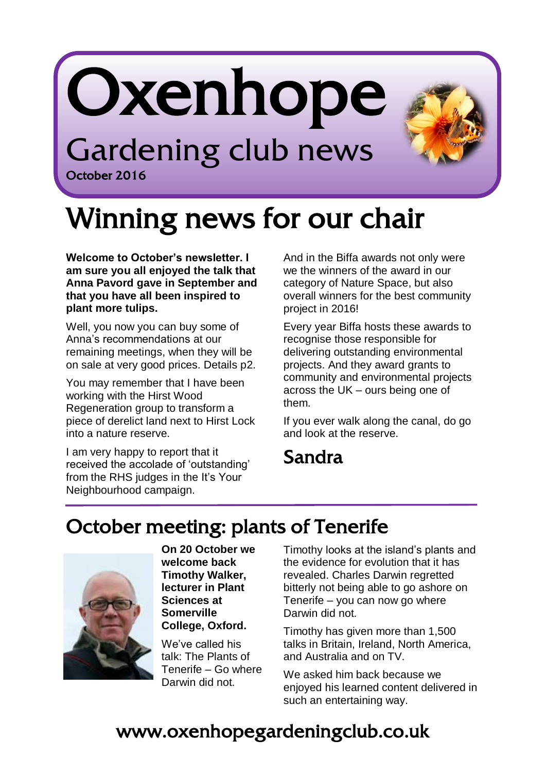# Oxenhope Gardening club news



## Winning news for our chair

**Welcome to October's newsletter. I am sure you all enjoyed the talk that Anna Pavord gave in September and that you have all been inspired to plant more tulips.** 

October 2016

ļ

Well, you now you can buy some of Anna's recommendations at our remaining meetings, when they will be on sale at very good prices. Details p2.

You may remember that I have been working with the Hirst Wood Regeneration group to transform a piece of derelict land next to Hirst Lock into a nature reserve.

I am very happy to report that it received the accolade of 'outstanding' from the RHS judges in the It's Your Neighbourhood campaign.

And in the Biffa awards not only were we the winners of the award in our category of Nature Space, but also overall winners for the best community project in 2016!

Every year Biffa hosts these awards to recognise those responsible for delivering outstanding environmental projects. And they award grants to community and environmental projects across the UK – ours being one of them.

If you ever walk along the canal, do go and look at the reserve.

#### Sandra

j

#### October meeting: plants of Tenerife



**On 20 October we welcome back Timothy Walker, lecturer in Plant Sciences at Somerville College, Oxford.**

We've called his talk: The Plants of Tenerife – Go where Darwin did not.

Timothy looks at the island's plants and the evidence for evolution that it has revealed. Charles Darwin regretted bitterly not being able to go ashore on Tenerife – you can now go where Darwin did not.

Timothy has given more than 1,500 talks in Britain, Ireland, North America, and Australia and on TV.

We asked him back because we enjoyed his learned content delivered in such an entertaining way.

#### www.oxenhopegardeningclub.co.uk